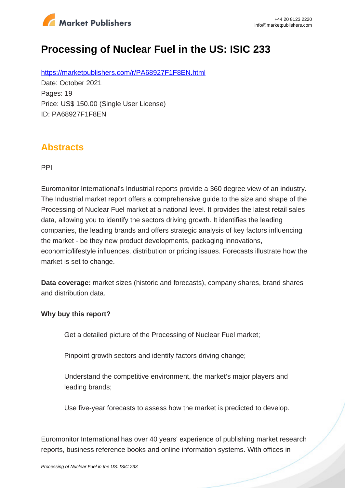

# **Processing of Nuclear Fuel in the US: ISIC 233**

https://marketpublishers.com/r/PA68927F1F8EN.html Date: October 2021 Pages: 19 Price: US\$ 150.00 (Single User License) ID: PA68927F1F8EN

### **Abstracts**

PPI

Euromonitor International's Industrial reports provide a 360 degree view of an industry. The Industrial market report offers a comprehensive guide to the size and shape of the Processing of Nuclear Fuel market at a national level. It provides the latest retail sales data, allowing you to identify the sectors driving growth. It identifies the leading companies, the leading brands and offers strategic analysis of key factors influencing the market - be they new product developments, packaging innovations, economic/lifestyle influences, distribution or pricing issues. Forecasts illustrate how the market is set to change.

**Data coverage:** market sizes (historic and forecasts), company shares, brand shares and distribution data.

#### **Why buy this report?**

Get a detailed picture of the Processing of Nuclear Fuel market;

Pinpoint growth sectors and identify factors driving change;

Understand the competitive environment, the market's major players and leading brands;

Use five-year forecasts to assess how the market is predicted to develop.

Euromonitor International has over 40 years' experience of publishing market research reports, business reference books and online information systems. With offices in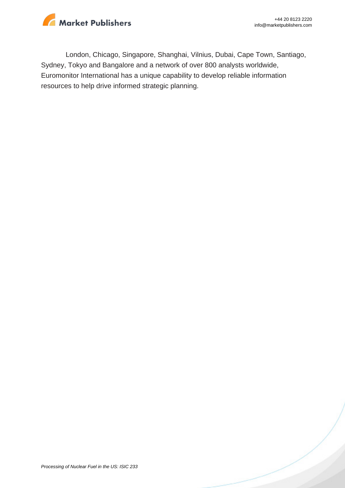

London, Chicago, Singapore, Shanghai, Vilnius, Dubai, Cape Town, Santiago, Sydney, Tokyo and Bangalore and a network of over 800 analysts worldwide, Euromonitor International has a unique capability to develop reliable information resources to help drive informed strategic planning.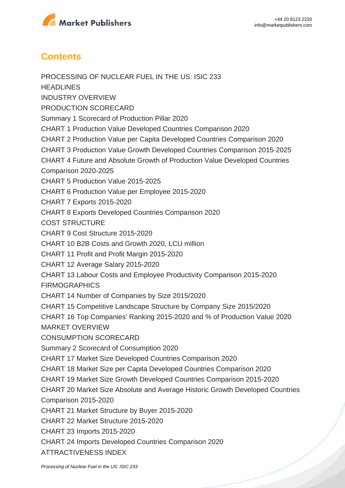

## **Contents**

PROCESSING OF NUCLEAR FUEL IN THE US: ISIC 233 **HEADLINES** INDUSTRY OVERVIEW PRODUCTION SCORECARD Summary 1 Scorecard of Production Pillar 2020 CHART 1 Production Value Developed Countries Comparison 2020 CHART 2 Production Value per Capita Developed Countries Comparison 2020 CHART 3 Production Value Growth Developed Countries Comparison 2015-2025 CHART 4 Future and Absolute Growth of Production Value Developed Countries Comparison 2020-2025 CHART 5 Production Value 2015-2025 CHART 6 Production Value per Employee 2015-2020 CHART 7 Exports 2015-2020 CHART 8 Exports Developed Countries Comparison 2020 COST STRUCTURE CHART 9 Cost Structure 2015-2020 CHART 10 B2B Costs and Growth 2020, LCU million CHART 11 Profit and Profit Margin 2015-2020 CHART 12 Average Salary 2015-2020 CHART 13 Labour Costs and Employee Productivity Comparison 2015-2020 FIRMOGRAPHICS CHART 14 Number of Companies by Size 2015/2020 CHART 15 Competitive Landscape Structure by Company Size 2015/2020 CHART 16 Top Companies' Ranking 2015-2020 and % of Production Value 2020 MARKET OVERVIEW CONSUMPTION SCORECARD Summary 2 Scorecard of Consumption 2020 CHART 17 Market Size Developed Countries Comparison 2020 CHART 18 Market Size per Capita Developed Countries Comparison 2020 CHART 19 Market Size Growth Developed Countries Comparison 2015-2020 CHART 20 Market Size Absolute and Average Historic Growth Developed Countries Comparison 2015-2020 CHART 21 Market Structure by Buyer 2015-2020 CHART 22 Market Structure 2015-2020 CHART 23 Imports 2015-2020 CHART 24 Imports Developed Countries Comparison 2020 ATTRACTIVENESS INDEX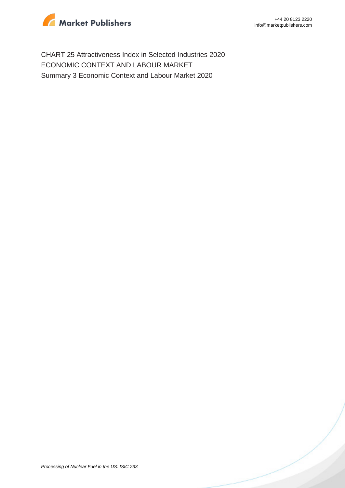

CHART 25 Attractiveness Index in Selected Industries 2020 ECONOMIC CONTEXT AND LABOUR MARKET Summary 3 Economic Context and Labour Market 2020